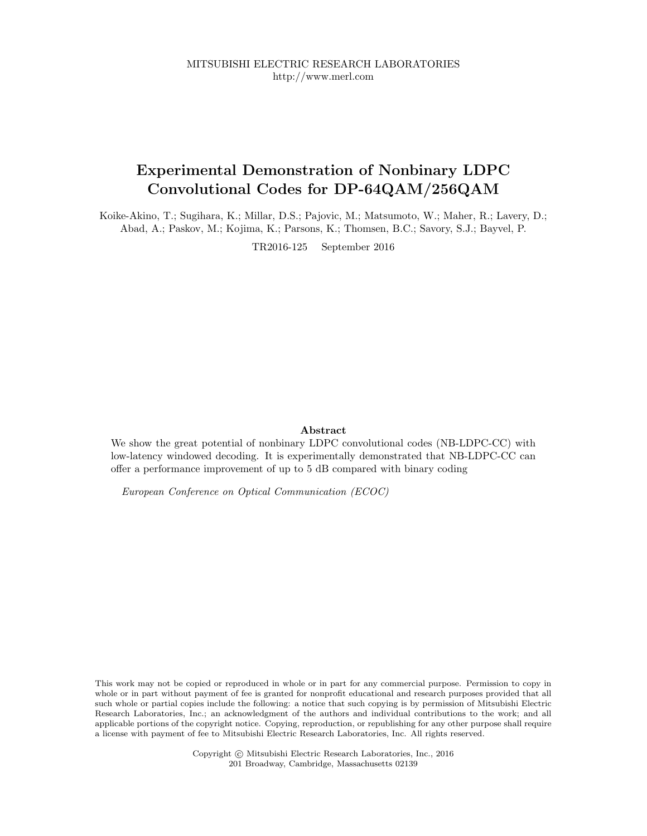## Experimental Demonstration of Nonbinary LDPC Convolutional Codes for DP-64QAM/256QAM

Koike-Akino, T.; Sugihara, K.; Millar, D.S.; Pajovic, M.; Matsumoto, W.; Maher, R.; Lavery, D.; Abad, A.; Paskov, M.; Kojima, K.; Parsons, K.; Thomsen, B.C.; Savory, S.J.; Bayvel, P.

TR2016-125 September 2016

## Abstract

We show the great potential of nonbinary LDPC convolutional codes (NB-LDPC-CC) with low-latency windowed decoding. It is experimentally demonstrated that NB-LDPC-CC can offer a performance improvement of up to 5 dB compared with binary coding

European Conference on Optical Communication (ECOC)

This work may not be copied or reproduced in whole or in part for any commercial purpose. Permission to copy in whole or in part without payment of fee is granted for nonprofit educational and research purposes provided that all such whole or partial copies include the following: a notice that such copying is by permission of Mitsubishi Electric Research Laboratories, Inc.; an acknowledgment of the authors and individual contributions to the work; and all applicable portions of the copyright notice. Copying, reproduction, or republishing for any other purpose shall require a license with payment of fee to Mitsubishi Electric Research Laboratories, Inc. All rights reserved.

> Copyright © Mitsubishi Electric Research Laboratories, Inc., 2016 201 Broadway, Cambridge, Massachusetts 02139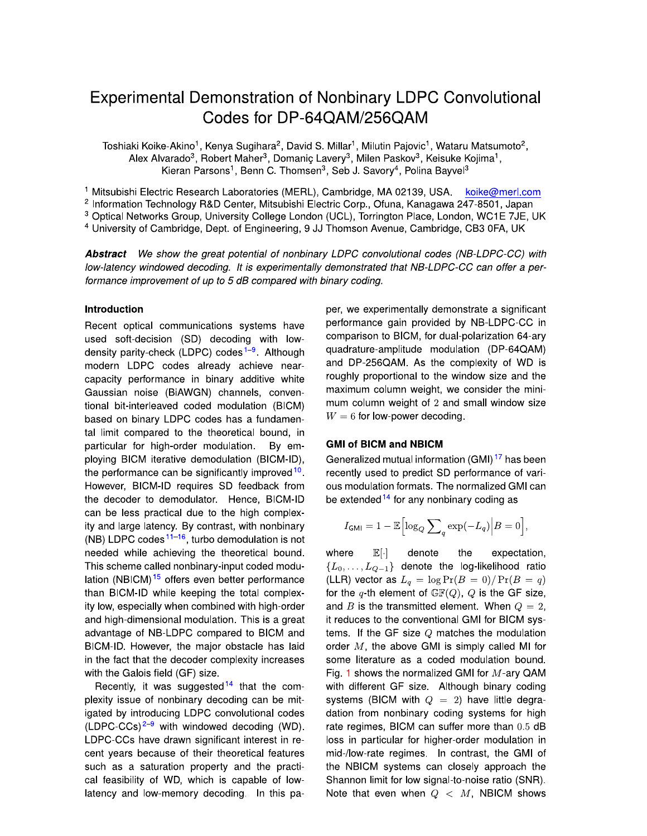# **Experimental Demonstration of Nonbinary LDPC Convolutional** Codes for DP-64QAM/256QAM

Toshiaki Koike-Akino<sup>1</sup>, Kenya Sugihara<sup>2</sup>, David S. Millar<sup>1</sup>, Milutin Pajovic<sup>1</sup>, Wataru Matsumoto<sup>2</sup>, Alex Alvarado<sup>3</sup>, Robert Maher<sup>3</sup>, Domanic Lavery<sup>3</sup>, Milen Paskov<sup>3</sup>, Keisuke Kojima<sup>1</sup>, Kieran Parsons<sup>1</sup>, Benn C. Thomsen<sup>3</sup>, Seb J. Savory<sup>4</sup>, Polina Bayvel<sup>3</sup>

<sup>1</sup> Mitsubishi Electric Research Laboratories (MERL), Cambridge, MA 02139, USA koike@merl.com

<sup>2</sup> Information Technology R&D Center, Mitsubishi Electric Corp., Ofuna, Kanagawa 247-8501, Japan

<sup>3</sup> Optical Networks Group, University College London (UCL), Torrington Place, London, WC1E 7JE, UK

<sup>4</sup> University of Cambridge, Dept. of Engineering, 9 JJ Thomson Avenue, Cambridge, CB3 0FA, UK

Abstract We show the great potential of nonbinary LDPC convolutional codes (NB-LDPC-CC) with low-latency windowed decoding. It is experimentally demonstrated that NB-LDPC-CC can offer a performance improvement of up to 5 dB compared with binary coding.

## Introduction

Recent optical communications systems have used soft-decision (SD) decoding with lowdensity parity-check (LDPC) codes<sup>1-9</sup>. Although modern LDPC codes already achieve nearcapacity performance in binary additive white Gaussian noise (BiAWGN) channels, conventional bit-interleaved coded modulation (BICM) based on binary LDPC codes has a fundamental limit compared to the theoretical bound, in particular for high-order modulation. By employing BICM iterative demodulation (BICM-ID), the performance can be significantly improved <sup>10</sup> However, BICM-ID requires SD feedback from the decoder to demodulator. Hence, BICM-ID can be less practical due to the high complexity and large latency. By contrast, with nonbinary (NB) LDPC codes  $11-16$ , turbo demodulation is not needed while achieving the theoretical bound. This scheme called nonbinary-input coded modulation (NBICM)<sup>15</sup> offers even better performance than BICM-ID while keeping the total complexity low, especially when combined with high-order and high-dimensional modulation. This is a great advantage of NB-LDPC compared to BICM and BICM-ID. However, the major obstacle has laid in the fact that the decoder complexity increases with the Galois field (GF) size.

Recently, it was suggested  $14$  that the complexity issue of nonbinary decoding can be mitigated by introducing LDPC convolutional codes  $(LDPC-CCs)^{2-9}$  with windowed decoding (WD). LDPC-CCs have drawn significant interest in recent years because of their theoretical features such as a saturation property and the practical feasibility of WD, which is capable of lowlatency and low-memory decoding. In this paper, we experimentally demonstrate a significant performance gain provided by NB-LDPC-CC in comparison to BICM, for dual-polarization 64-ary quadrature-amplitude modulation (DP-64QAM) and DP-256QAM. As the complexity of WD is roughly proportional to the window size and the maximum column weight, we consider the minimum column weight of 2 and small window size  $W = 6$  for low-power decoding.

## **GMI of BICM and NBICM**

Generalized mutual information (GMI)<sup>17</sup> has been recently used to predict SD performance of various modulation formats. The normalized GMI can be extended  $14$  for any nonbinary coding as

$$
I_{\mathsf{GMI}} = 1 - \mathbb{E}\Big[\log_Q \sum\nolimits_q \exp(-L_q) \Big| B = 0\Big],
$$

 $E[\cdot]$ denote expectation, where the  ${L_0, \ldots, L_{Q-1}}$  denote the log-likelihood ratio (LLR) vector as  $L_q = \log \Pr(B = 0) / \Pr(B = q)$ for the q-th element of  $GF(Q)$ , Q is the GF size, and B is the transmitted element. When  $Q = 2$ , it reduces to the conventional GMI for BICM systems. If the GF size  $Q$  matches the modulation order  $M$ , the above GMI is simply called MI for some literature as a coded modulation bound. Fig. 1 shows the normalized GMI for  $M$ -ary QAM with different GF size. Although binary coding systems (BICM with  $Q = 2$ ) have little degradation from nonbinary coding systems for high rate regimes, BICM can suffer more than 0.5 dB loss in particular for higher-order modulation in mid-/low-rate regimes. In contrast, the GMI of the NBICM systems can closely approach the Shannon limit for low signal-to-noise ratio (SNR). Note that even when  $Q \, < M$ , NBICM shows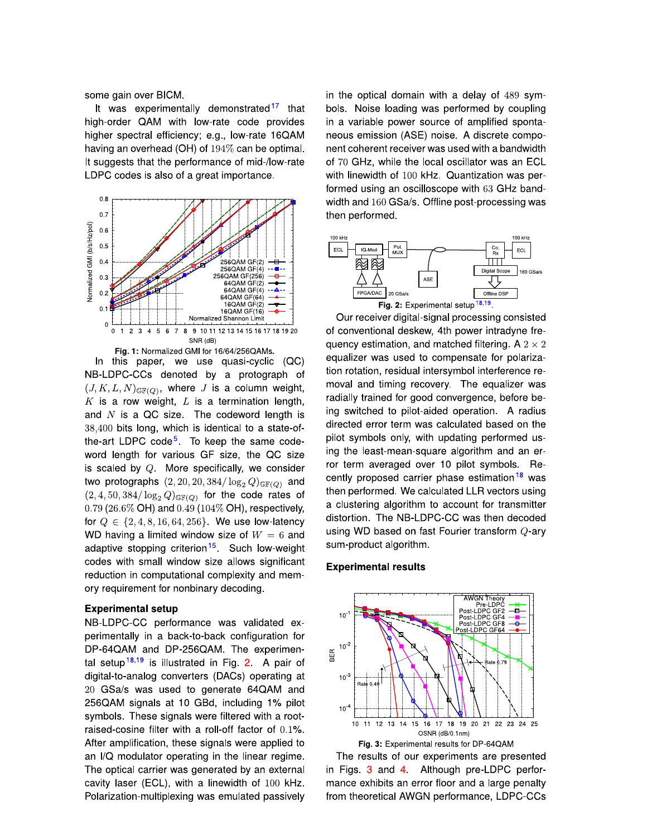some gain over BICM.

It was experimentally demonstrated<sup>17</sup> that high-order QAM with low-rate code provides higher spectral efficiency; e.g., low-rate 16QAM having an overhead (OH) of  $194\%$  can be optimal. It suggests that the performance of mid-/low-rate LDPC codes is also of a great importance.



In this paper, we use quasi-cyclic  $(OC)$ NB-LDPC-CCs denoted by a protograph of  $(J, K, L, N)_{\mathbb{GF}(Q)}$ , where J is a column weight,  $K$  is a row weight,  $L$  is a termination length, and  $N$  is a QC size. The codeword length is 38,400 bits long, which is identical to a state-ofthe-art LDPC code<sup>5</sup>. To keep the same codeword length for various GF size, the QC size is scaled by  $Q$ . More specifically, we consider two protographs  $(2, 20, 20, 384/\log_2 Q)_{\text{GF}(Q)}$  and  $(2,4,50,384/\log_2 Q)_{\mathbb{G}(\mathbb{F}(Q))}$  for the code rates of 0.79 (26.6% OH) and 0.49 (104% OH), respectively, for  $Q \in \{2, 4, 8, 16, 64, 256\}$ . We use low-latency WD having a limited window size of  $W = 6$  and adaptive stopping criterion<sup>15</sup> Such low-weight codes with small window size allows significant reduction in computational complexity and memory requirement for nonbinary decoding.

#### **Experimental setup**

NB-LDPC-CC performance was validated experimentally in a back-to-back configuration for DP-64QAM and DP-256QAM. The experimental setup<sup>18,19</sup> is illustrated in Fig. 2. A pair of digital-to-analog converters (DACs) operating at 20 GSa/s was used to generate 64QAM and 256QAM signals at 10 GBd, including 1% pilot symbols. These signals were filtered with a rootraised-cosine filter with a roll-off factor of 0.1%. After amplification, these signals were applied to an I/Q modulator operating in the linear regime. The optical carrier was generated by an external cavity laser (ECL), with a linewidth of 100 kHz. Polarization-multiplexing was emulated passively in the optical domain with a delay of 489 symbols. Noise loading was performed by coupling in a variable power source of amplified spontaneous emission (ASE) noise. A discrete component coherent receiver was used with a bandwidth of 70 GHz, while the local oscillator was an ECL with linewidth of 100 kHz. Quantization was performed using an oscilloscope with 63 GHz bandwidth and 160 GSa/s. Offline post-processing was then performed.



Our receiver digital-signal processing consisted of conventional deskew, 4th power intradyne frequency estimation, and matched filtering. A  $2 \times 2$ equalizer was used to compensate for polarization rotation, residual intersymbol interference removal and timing recovery. The equalizer was radially trained for good convergence, before being switched to pilot-aided operation. A radius directed error term was calculated based on the pilot symbols only, with updating performed using the least-mean-square algorithm and an error term averaged over 10 pilot symbols. Recently proposed carrier phase estimation<sup>18</sup> was then performed. We calculated LLR vectors using a clustering algorithm to account for transmitter distortion. The NB-LDPC-CC was then decoded using WD based on fast Fourier transform Q-ary sum-product algorithm.

#### **Experimental results**



The results of our experiments are presented in Figs 3 and 4 Although pre-LDPC performance exhibits an error floor and a large penalty from theoretical AWGN performance, LDPC-CCs